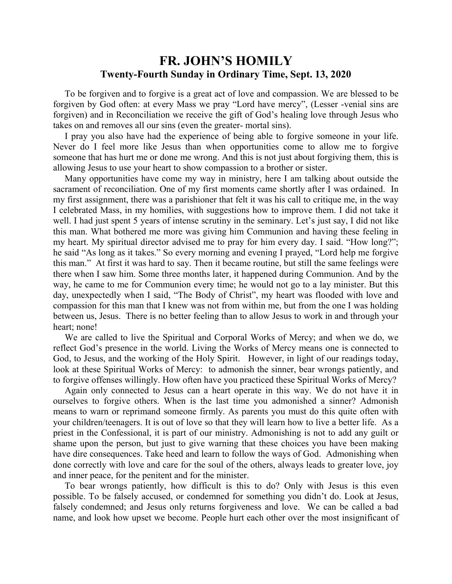## **FR. JOHN'S HOMILY Twenty-Fourth Sunday in Ordinary Time, Sept. 13, 2020**

 To be forgiven and to forgive is a great act of love and compassion. We are blessed to be forgiven by God often: at every Mass we pray "Lord have mercy", (Lesser -venial sins are forgiven) and in Reconciliation we receive the gift of God's healing love through Jesus who takes on and removes all our sins (even the greater- mortal sins).

 I pray you also have had the experience of being able to forgive someone in your life. Never do I feel more like Jesus than when opportunities come to allow me to forgive someone that has hurt me or done me wrong. And this is not just about forgiving them, this is allowing Jesus to use your heart to show compassion to a brother or sister.

 Many opportunities have come my way in ministry, here I am talking about outside the sacrament of reconciliation. One of my first moments came shortly after I was ordained. In my first assignment, there was a parishioner that felt it was his call to critique me, in the way I celebrated Mass, in my homilies, with suggestions how to improve them. I did not take it well. I had just spent 5 years of intense scrutiny in the seminary. Let's just say, I did not like this man. What bothered me more was giving him Communion and having these feeling in my heart. My spiritual director advised me to pray for him every day. I said. "How long?"; he said "As long as it takes." So every morning and evening I prayed, "Lord help me forgive this man." At first it was hard to say. Then it became routine, but still the same feelings were there when I saw him. Some three months later, it happened during Communion. And by the way, he came to me for Communion every time; he would not go to a lay minister. But this day, unexpectedly when I said, "The Body of Christ", my heart was flooded with love and compassion for this man that I knew was not from within me, but from the one I was holding between us, Jesus. There is no better feeling than to allow Jesus to work in and through your heart; none!

 We are called to live the Spiritual and Corporal Works of Mercy; and when we do, we reflect God's presence in the world. Living the Works of Mercy means one is connected to God, to Jesus, and the working of the Holy Spirit. However, in light of our readings today, look at these Spiritual Works of Mercy: to admonish the sinner, bear wrongs patiently, and to forgive offenses willingly. How often have you practiced these Spiritual Works of Mercy?

 Again only connected to Jesus can a heart operate in this way. We do not have it in ourselves to forgive others. When is the last time you admonished a sinner? Admonish means to warn or reprimand someone firmly. As parents you must do this quite often with your children/teenagers. It is out of love so that they will learn how to live a better life. As a priest in the Confessional, it is part of our ministry. Admonishing is not to add any guilt or shame upon the person, but just to give warning that these choices you have been making have dire consequences. Take heed and learn to follow the ways of God. Admonishing when done correctly with love and care for the soul of the others, always leads to greater love, joy and inner peace, for the penitent and for the minister.

 To bear wrongs patiently, how difficult is this to do? Only with Jesus is this even possible. To be falsely accused, or condemned for something you didn't do. Look at Jesus, falsely condemned; and Jesus only returns forgiveness and love. We can be called a bad name, and look how upset we become. People hurt each other over the most insignificant of